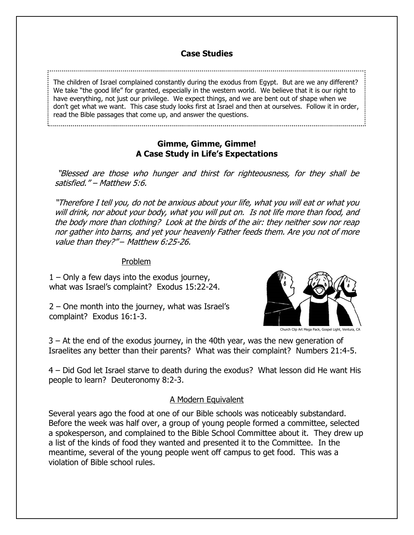# **Case Studies**

The children of Israel complained constantly during the exodus from Egypt. But are we any different? We take "the good life" for granted, especially in the western world. We believe that it is our right to have everything, not just our privilege. We expect things, and we are bent out of shape when we don't get what we want. This case study looks first at Israel and then at ourselves. Follow it in order, read the Bible passages that come up, and answer the questions.

# **Gimme, Gimme, Gimme! A Case Study in Life's Expectations**

"Blessed are those who hunger and thirst for righteousness, for they shall be satisfied." – Matthew 5:6.

"Therefore I tell you, do not be anxious about your life, what you will eat or what you will drink, nor about your body, what you will put on. Is not life more than food, and the body more than clothing? Look at the birds of the air: they neither sow nor reap nor gather into barns, and yet your heavenly Father feeds them. Are you not of more value than they?" – Matthew 6:25-26.

#### Problem

1 – Only a few days into the exodus journey, what was Israel's complaint? Exodus 15:22-24.

2 – One month into the journey, what was Israel's complaint? Exodus 16:1-3.



Church Clip Art Mega Pack, Gospel Light, Ventura, CA

3 – At the end of the exodus journey, in the 40th year, was the new generation of Israelites any better than their parents? What was their complaint? Numbers 21:4-5.

4 – Did God let Israel starve to death during the exodus? What lesson did He want His people to learn? Deuteronomy 8:2-3.

## A Modern Equivalent

Several years ago the food at one of our Bible schools was noticeably substandard. Before the week was half over, a group of young people formed a committee, selected a spokesperson, and complained to the Bible School Committee about it. They drew up a list of the kinds of food they wanted and presented it to the Committee. In the meantime, several of the young people went off campus to get food. This was a violation of Bible school rules.